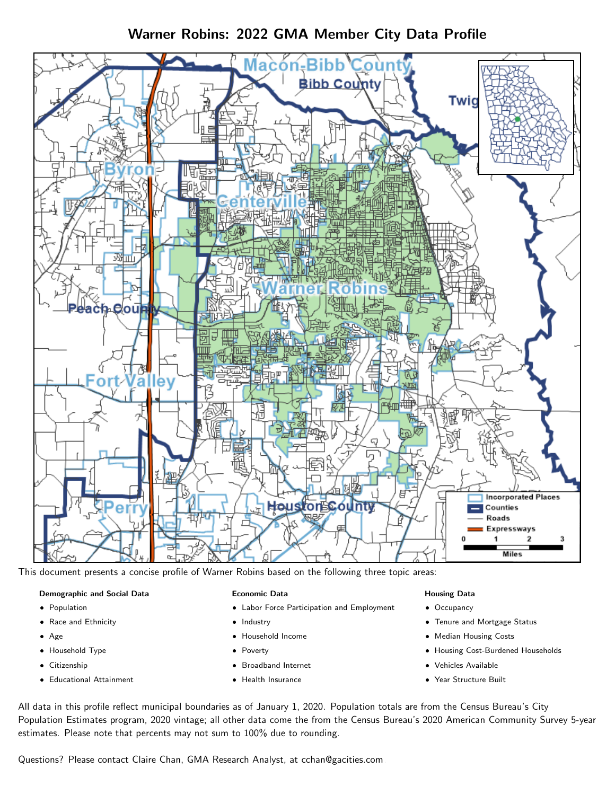# Warner Robins: 2022 GMA Member City Data Profile



This document presents a concise profile of Warner Robins based on the following three topic areas:

## Demographic and Social Data

- **•** Population
- Race and Ethnicity
- Age
- Household Type
- **Citizenship**
- Educational Attainment

## Economic Data

- Labor Force Participation and Employment
- Industry
- Household Income
- Poverty
- Broadband Internet
- Health Insurance

## Housing Data

- Occupancy
- Tenure and Mortgage Status
- Median Housing Costs
- Housing Cost-Burdened Households
- Vehicles Available
- Year Structure Built

All data in this profile reflect municipal boundaries as of January 1, 2020. Population totals are from the Census Bureau's City Population Estimates program, 2020 vintage; all other data come the from the Census Bureau's 2020 American Community Survey 5-year estimates. Please note that percents may not sum to 100% due to rounding.

Questions? Please contact Claire Chan, GMA Research Analyst, at [cchan@gacities.com.](mailto:cchan@gacities.com)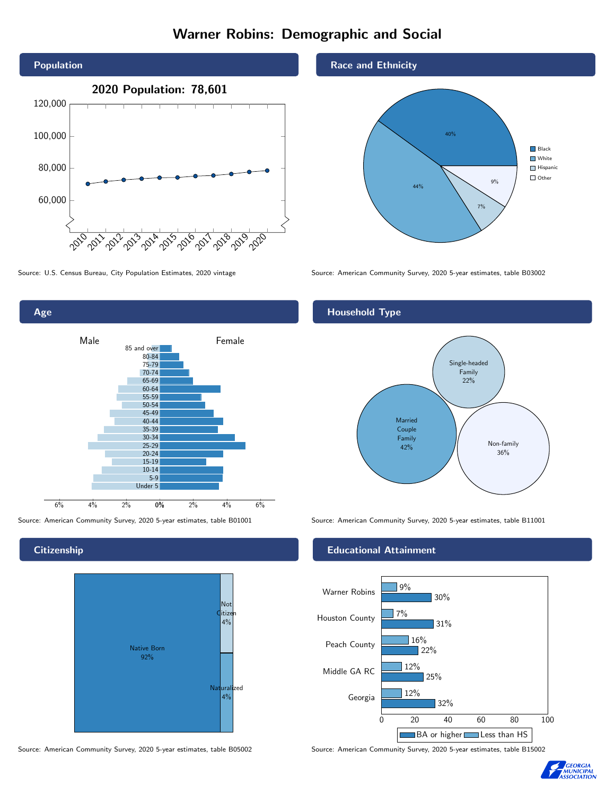# Warner Robins: Demographic and Social





**Citizenship** 



Source: American Community Survey, 2020 5-year estimates, table B05002 Source: American Community Survey, 2020 5-year estimates, table B15002

## Race and Ethnicity



Source: U.S. Census Bureau, City Population Estimates, 2020 vintage Source: American Community Survey, 2020 5-year estimates, table B03002

# Household Type



Source: American Community Survey, 2020 5-year estimates, table B01001 Source: American Community Survey, 2020 5-year estimates, table B11001

## Educational Attainment



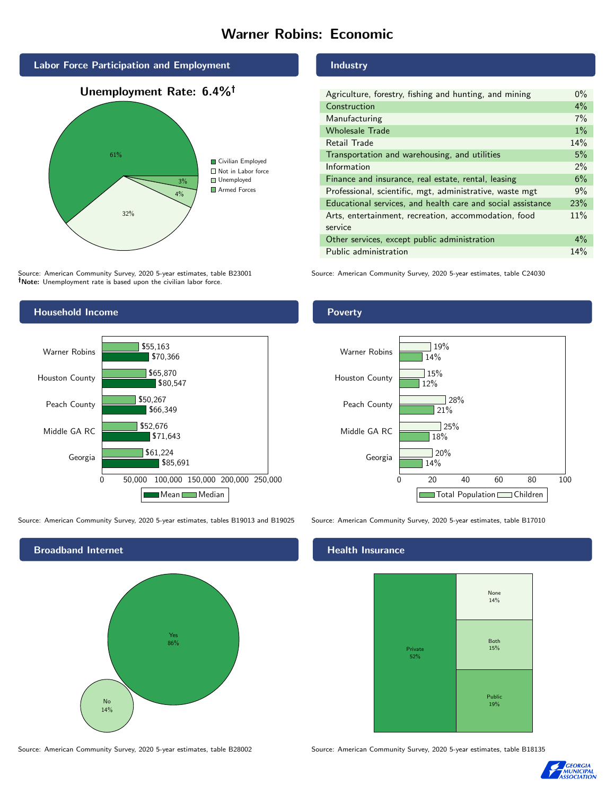# Warner Robins: Economic





Source: American Community Survey, 2020 5-year estimates, table B23001 Note: Unemployment rate is based upon the civilian labor force.

## Industry

| Agriculture, forestry, fishing and hunting, and mining      | $0\%$ |
|-------------------------------------------------------------|-------|
| Construction                                                | 4%    |
| Manufacturing                                               | 7%    |
| <b>Wholesale Trade</b>                                      | $1\%$ |
| Retail Trade                                                | 14%   |
| Transportation and warehousing, and utilities               | 5%    |
| Information                                                 | $2\%$ |
| Finance and insurance, real estate, rental, leasing         | 6%    |
| Professional, scientific, mgt, administrative, waste mgt    | 9%    |
| Educational services, and health care and social assistance | 23%   |
| Arts, entertainment, recreation, accommodation, food        | 11%   |
| service                                                     |       |
| Other services, except public administration                | $4\%$ |
| Public administration                                       | 14%   |

Source: American Community Survey, 2020 5-year estimates, table C24030



Source: American Community Survey, 2020 5-year estimates, tables B19013 and B19025 Source: American Community Survey, 2020 5-year estimates, table B17010



#### Health Insurance



Source: American Community Survey, 2020 5-year estimates, table B28002 Source: American Community Survey, 2020 5-year estimates, table B18135